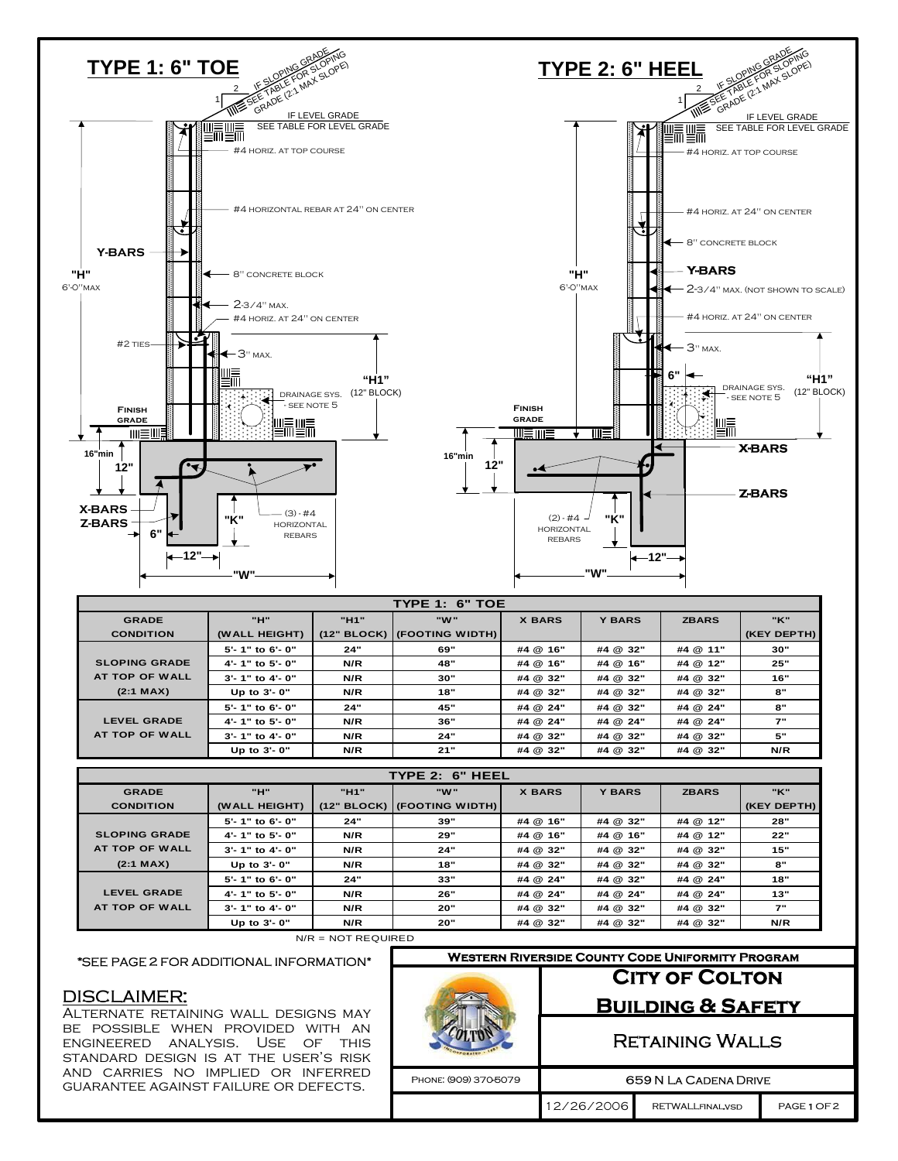